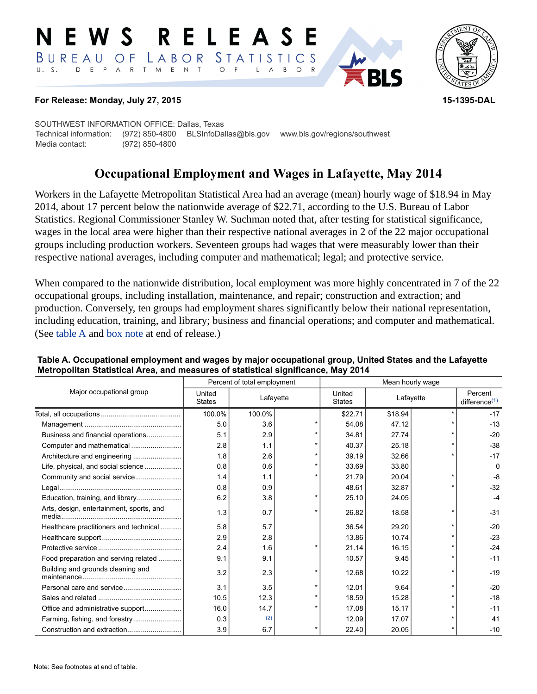#### RELEASE E W S LABOR STATISTICS BUREAU OF D E P A R T M E N T  $\circ$  $U. S.$  $F$  $\mathsf{L}$  $\overline{A}$ B  $O$  R



### **For Release: Monday, July 27, 2015 15-1395-DAL**

SOUTHWEST INFORMATION OFFICE: Dallas, Texas Technical information: (972) 850-4800 BLSInfoDallas@bls.gov www.bls.gov/regions/southwest Media contact: (972) 850-4800

# **Occupational Employment and Wages in Lafayette, May 2014**

Workers in the Lafayette Metropolitan Statistical Area had an average (mean) hourly wage of \$18.94 in May 2014, about 17 percent below the nationwide average of \$22.71, according to the U.S. Bureau of Labor Statistics. Regional Commissioner Stanley W. Suchman noted that, after testing for statistical significance, wages in the local area were higher than their respective national averages in 2 of the 22 major occupational groups including production workers. Seventeen groups had wages that were measurably lower than their respective national averages, including computer and mathematical; legal; and protective service.

When compared to the nationwide distribution, local employment was more highly concentrated in 7 of the 22 occupational groups, including installation, maintenance, and repair; construction and extraction; and production. Conversely, ten groups had employment shares significantly below their national representation, including education, training, and library; business and financial operations; and computer and mathematical. (See [table A](#page-0-0) and [box note](#page-2-0) at end of release.)

|                                          | Percent of total employment |           |  | Mean hourly wage        |           |  |                             |
|------------------------------------------|-----------------------------|-----------|--|-------------------------|-----------|--|-----------------------------|
| Major occupational group                 | United<br><b>States</b>     | Lafayette |  | United<br><b>States</b> | Lafayette |  | Percent<br>difference $(1)$ |
|                                          | 100.0%                      | 100.0%    |  | \$22.71                 | \$18.94   |  | $-17$                       |
|                                          | 5.0                         | 3.6       |  | 54.08                   | 47.12     |  | $-13$                       |
| Business and financial operations        | 5.1                         | 2.9       |  | 34.81                   | 27.74     |  | $-20$                       |
|                                          | 2.8                         | 1.1       |  | 40.37                   | 25.18     |  | $-38$                       |
|                                          | 1.8                         | 2.6       |  | 39.19                   | 32.66     |  | $-17$                       |
| Life, physical, and social science       | 0.8                         | 0.6       |  | 33.69                   | 33.80     |  | 0                           |
|                                          | 1.4                         | 1.1       |  | 21.79                   | 20.04     |  | $-8$                        |
|                                          | 0.8                         | 0.9       |  | 48.61                   | 32.87     |  | $-32$                       |
| Education, training, and library         | 6.2                         | 3.8       |  | 25.10                   | 24.05     |  | -4                          |
| Arts, design, entertainment, sports, and | 1.3                         | 0.7       |  | 26.82                   | 18.58     |  | $-31$                       |
| Healthcare practitioners and technical   | 5.8                         | 5.7       |  | 36.54                   | 29.20     |  | $-20$                       |
|                                          | 2.9                         | 2.8       |  | 13.86                   | 10.74     |  | $-23$                       |
|                                          | 2.4                         | 1.6       |  | 21.14                   | 16.15     |  | $-24$                       |
| Food preparation and serving related     | 9.1                         | 9.1       |  | 10.57                   | 9.45      |  | $-11$                       |
| Building and grounds cleaning and        | 3.2                         | 2.3       |  | 12.68                   | 10.22     |  | $-19$                       |
|                                          | 3.1                         | 3.5       |  | 12.01                   | 9.64      |  | $-20$                       |
|                                          | 10.5                        | 12.3      |  | 18.59                   | 15.28     |  | $-18$                       |
|                                          | 16.0                        | 14.7      |  | 17.08                   | 15.17     |  | $-11$                       |
| Farming, fishing, and forestry           | 0.3                         | (2)       |  | 12.09                   | 17.07     |  | 41                          |
|                                          | 3.9                         | 6.7       |  | 22.40                   | 20.05     |  | $-10$                       |

#### <span id="page-0-0"></span>**Table A. Occupational employment and wages by major occupational group, United States and the Lafayette Metropolitan Statistical Area, and measures of statistical significance, May 2014**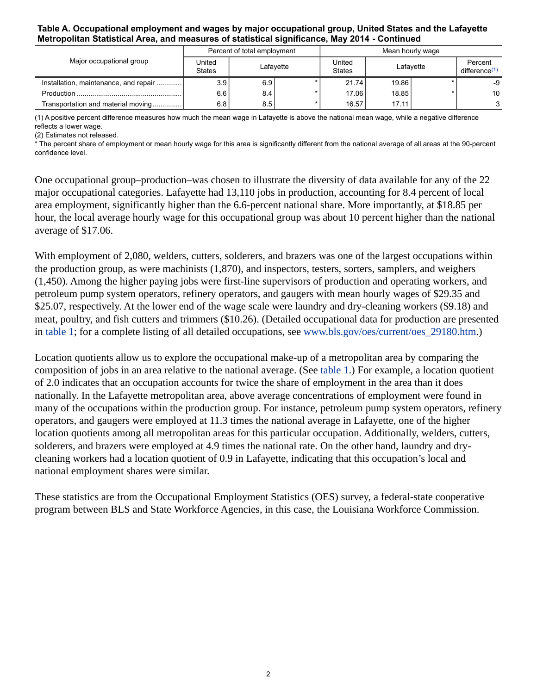#### **Table A. Occupational employment and wages by major occupational group, United States and the Lafayette Metropolitan Statistical Area, and measures of statistical significance, May 2014 - Continued**

| Major occupational group              | Percent of total employment |           |  | Mean hourly wage        |           |  |                                      |
|---------------------------------------|-----------------------------|-----------|--|-------------------------|-----------|--|--------------------------------------|
|                                       | United<br><b>States</b>     | Lafavette |  | United<br><b>States</b> | Lafayette |  | Percent<br>difference <sup>(1)</sup> |
| Installation, maintenance, and repair | 3.9 <sub>1</sub>            | 6.9       |  | 21.74                   | 19.86     |  | -9                                   |
|                                       | 6.6                         | 8.4       |  | 17.06                   | 18.85     |  | 10                                   |
| Transportation and material moving    | 6.8                         | 8.5       |  | 16.57                   | 17.11     |  | $\mathbf{r}$                         |

<span id="page-1-0"></span>(1) A positive percent difference measures how much the mean wage in Lafayette is above the national mean wage, while a negative difference reflects a lower wage.

<span id="page-1-1"></span>(2) Estimates not released.

\* The percent share of employment or mean hourly wage for this area is significantly different from the national average of all areas at the 90-percent confidence level.

One occupational group–production–was chosen to illustrate the diversity of data available for any of the 22 major occupational categories. Lafayette had 13,110 jobs in production, accounting for 8.4 percent of local area employment, significantly higher than the 6.6-percent national share. More importantly, at \$18.85 per hour, the local average hourly wage for this occupational group was about 10 percent higher than the national average of \$17.06.

With employment of 2,080, welders, cutters, solderers, and brazers was one of the largest occupations within the production group, as were machinists (1,870), and inspectors, testers, sorters, samplers, and weighers (1,450). Among the higher paying jobs were first-line supervisors of production and operating workers, and petroleum pump system operators, refinery operators, and gaugers with mean hourly wages of \$29.35 and \$25.07, respectively. At the lower end of the wage scale were laundry and dry-cleaning workers (\$9.18) and meat, poultry, and fish cutters and trimmers (\$10.26). (Detailed occupational data for production are presented in [table 1](#page-4-0); for a complete listing of all detailed occupations, see [www.bls.gov/oes/current/oes\\_29180.htm](https://www.bls.gov/oes/current/oes_29180.htm).)

Location quotients allow us to explore the occupational make-up of a metropolitan area by comparing the composition of jobs in an area relative to the national average. (See [table 1.](#page-4-0)) For example, a location quotient of 2.0 indicates that an occupation accounts for twice the share of employment in the area than it does nationally. In the Lafayette metropolitan area, above average concentrations of employment were found in many of the occupations within the production group. For instance, petroleum pump system operators, refinery operators, and gaugers were employed at 11.3 times the national average in Lafayette, one of the higher location quotients among all metropolitan areas for this particular occupation. Additionally, welders, cutters, solderers, and brazers were employed at 4.9 times the national rate. On the other hand, laundry and drycleaning workers had a location quotient of 0.9 in Lafayette, indicating that this occupation's local and national employment shares were similar.

These statistics are from the Occupational Employment Statistics (OES) survey, a federal-state cooperative program between BLS and State Workforce Agencies, in this case, the Louisiana Workforce Commission.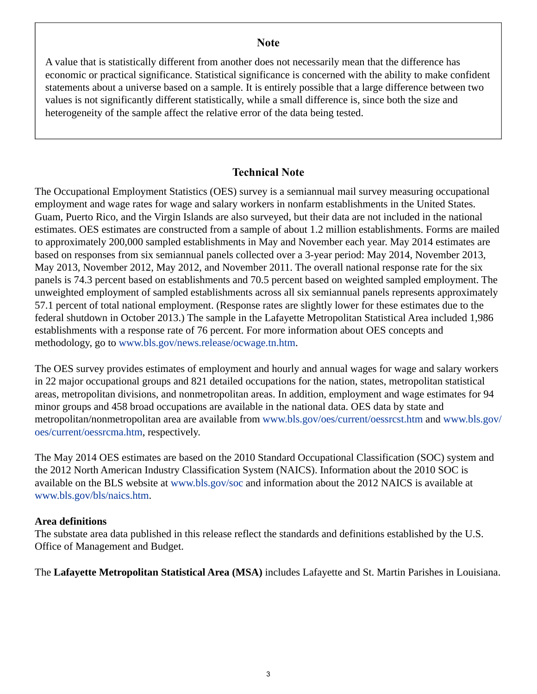# **Note**

<span id="page-2-0"></span>A value that is statistically different from another does not necessarily mean that the difference has economic or practical significance. Statistical significance is concerned with the ability to make confident statements about a universe based on a sample. It is entirely possible that a large difference between two values is not significantly different statistically, while a small difference is, since both the size and heterogeneity of the sample affect the relative error of the data being tested.

# **Technical Note**

The Occupational Employment Statistics (OES) survey is a semiannual mail survey measuring occupational employment and wage rates for wage and salary workers in nonfarm establishments in the United States. Guam, Puerto Rico, and the Virgin Islands are also surveyed, but their data are not included in the national estimates. OES estimates are constructed from a sample of about 1.2 million establishments. Forms are mailed to approximately 200,000 sampled establishments in May and November each year. May 2014 estimates are based on responses from six semiannual panels collected over a 3-year period: May 2014, November 2013, May 2013, November 2012, May 2012, and November 2011. The overall national response rate for the six panels is 74.3 percent based on establishments and 70.5 percent based on weighted sampled employment. The unweighted employment of sampled establishments across all six semiannual panels represents approximately 57.1 percent of total national employment. (Response rates are slightly lower for these estimates due to the federal shutdown in October 2013.) The sample in the Lafayette Metropolitan Statistical Area included 1,986 establishments with a response rate of 76 percent. For more information about OES concepts and methodology, go to [www.bls.gov/news.release/ocwage.tn.htm.](https://www.bls.gov/news.release/ocwage.tn.htm)

The OES survey provides estimates of employment and hourly and annual wages for wage and salary workers in 22 major occupational groups and 821 detailed occupations for the nation, states, metropolitan statistical areas, metropolitan divisions, and nonmetropolitan areas. In addition, employment and wage estimates for 94 minor groups and 458 broad occupations are available in the national data. OES data by state and metropolitan/nonmetropolitan area are available from [www.bls.gov/oes/current/oessrcst.htm](https://www.bls.gov/oes/current/oessrcst.htm) and [www.bls.gov/](https://www.bls.gov/oes/current/oessrcma.htm) [oes/current/oessrcma.htm,](https://www.bls.gov/oes/current/oessrcma.htm) respectively.

The May 2014 OES estimates are based on the 2010 Standard Occupational Classification (SOC) system and the 2012 North American Industry Classification System (NAICS). Information about the 2010 SOC is available on the BLS website at [www.bls.gov/soc](https://www.bls.gov/soc) and information about the 2012 NAICS is available at [www.bls.gov/bls/naics.htm.](https://www.bls.gov/bls/naics.htm)

# **Area definitions**

The substate area data published in this release reflect the standards and definitions established by the U.S. Office of Management and Budget.

The **Lafayette Metropolitan Statistical Area (MSA)** includes Lafayette and St. Martin Parishes in Louisiana.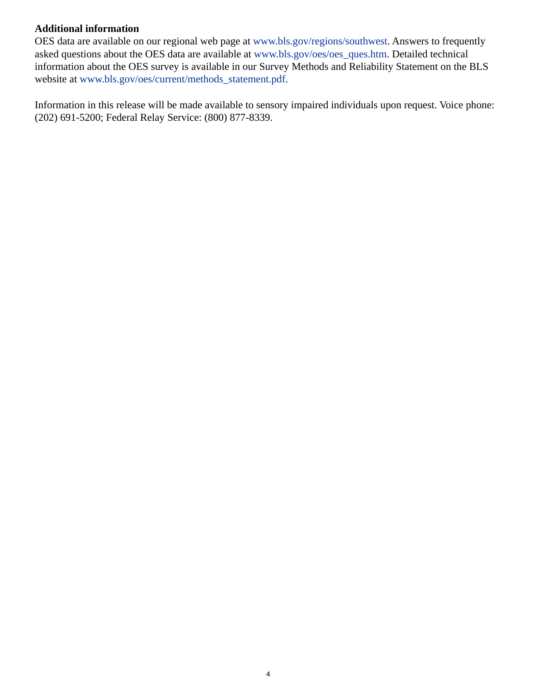# **Additional information**

OES data are available on our regional web page at [www.bls.gov/regions/southwest.](https://www.bls.gov/regions/southwest) Answers to frequently asked questions about the OES data are available at [www.bls.gov/oes/oes\\_ques.htm](https://www.bls.gov/oes/oes_ques.htm). Detailed technical information about the OES survey is available in our Survey Methods and Reliability Statement on the BLS website at [www.bls.gov/oes/current/methods\\_statement.pdf.](https://www.bls.gov/oes/current/methods_statement.pdf)

Information in this release will be made available to sensory impaired individuals upon request. Voice phone: (202) 691-5200; Federal Relay Service: (800) 877-8339.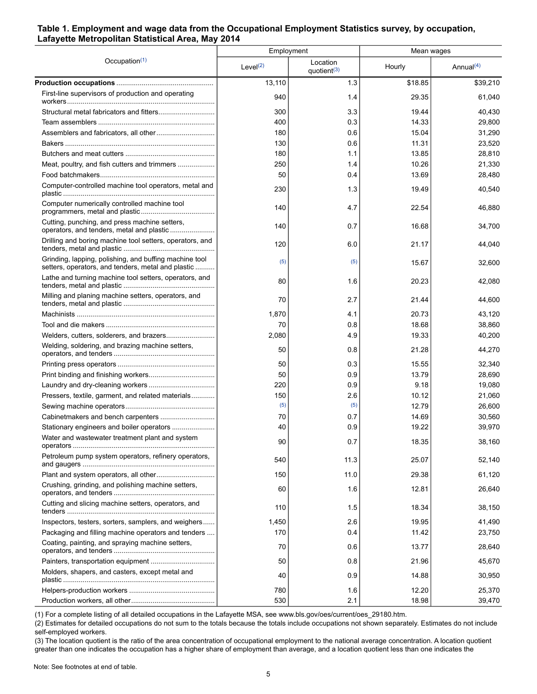#### <span id="page-4-0"></span>**Table 1. Employment and wage data from the Occupational Employment Statistics survey, by occupation, Lafayette Metropolitan Statistical Area, May 2014**

|                                                                                                              | Employment  |                                     | Mean wages |                       |  |
|--------------------------------------------------------------------------------------------------------------|-------------|-------------------------------------|------------|-----------------------|--|
| Occupation $(1)$                                                                                             | Level $(2)$ | Location<br>quotient <sup>(3)</sup> | Hourly     | Annual <sup>(4)</sup> |  |
|                                                                                                              | 13,110      | 1.3                                 | \$18.85    | \$39,210              |  |
| First-line supervisors of production and operating                                                           | 940         | 1.4                                 | 29.35      | 61,040                |  |
|                                                                                                              | 300         | 3.3                                 | 19.44      | 40,430                |  |
|                                                                                                              | 400         | 0.3                                 | 14.33      | 29,800                |  |
|                                                                                                              | 180         | 0.6                                 | 15.04      | 31,290                |  |
|                                                                                                              | 130         | 0.6                                 | 11.31      | 23,520                |  |
|                                                                                                              | 180         | 1.1                                 | 13.85      | 28,810                |  |
| Meat, poultry, and fish cutters and trimmers                                                                 | 250         | 1.4                                 | 10.26      | 21,330                |  |
|                                                                                                              | 50          | 0.4                                 | 13.69      | 28,480                |  |
| Computer-controlled machine tool operators, metal and                                                        | 230         | 1.3                                 | 19.49      | 40,540                |  |
| Computer numerically controlled machine tool                                                                 | 140         | 4.7                                 | 22.54      | 46,880                |  |
| Cutting, punching, and press machine setters,<br>operators, and tenders, metal and plastic                   | 140         | 0.7                                 | 16.68      | 34,700                |  |
| Drilling and boring machine tool setters, operators, and                                                     | 120         | 6.0                                 | 21.17      | 44,040                |  |
| Grinding, lapping, polishing, and buffing machine tool<br>setters, operators, and tenders, metal and plastic | (5)         | (5)                                 | 15.67      | 32,600                |  |
| Lathe and turning machine tool setters, operators, and                                                       | 80          | 1.6                                 | 20.23      | 42,080                |  |
| Milling and planing machine setters, operators, and                                                          | 70          | 2.7                                 | 21.44      | 44,600                |  |
|                                                                                                              | 1,870       | 4.1                                 | 20.73      | 43,120                |  |
|                                                                                                              | 70          | 0.8                                 | 18.68      | 38,860                |  |
|                                                                                                              | 2,080       | 4.9                                 | 19.33      | 40,200                |  |
| Welding, soldering, and brazing machine setters,                                                             | 50          | 0.8                                 | 21.28      | 44,270                |  |
|                                                                                                              | 50          | 0.3                                 | 15.55      | 32,340                |  |
|                                                                                                              | 50          | 0.9                                 | 13.79      | 28,690                |  |
|                                                                                                              | 220         | 0.9                                 | 9.18       | 19,080                |  |
| Pressers, textile, garment, and related materials                                                            | 150         | 2.6                                 | 10.12      | 21,060                |  |
|                                                                                                              | (5)         | (5)                                 | 12.79      | 26,600                |  |
|                                                                                                              | 70          | 0.7                                 | 14.69      | 30,560                |  |
| Stationary engineers and boiler operators                                                                    | 40          | 0.9                                 | 19.22      | 39,970                |  |
| Water and wastewater treatment plant and system                                                              | 90          | 0.7                                 | 18.35      | 38,160                |  |
| Petroleum pump system operators, refinery operators,                                                         | 540         | 11.3                                | 25.07      | 52,140                |  |
|                                                                                                              | 150         | 11.0                                | 29.38      | 61,120                |  |
| Crushing, grinding, and polishing machine setters,                                                           | 60          | 1.6                                 | 12.81      | 26,640                |  |
| Cutting and slicing machine setters, operators, and                                                          | 110         | 1.5                                 | 18.34      | 38,150                |  |
| Inspectors, testers, sorters, samplers, and weighers                                                         | 1,450       | 2.6                                 | 19.95      | 41,490                |  |
| Packaging and filling machine operators and tenders                                                          | 170         | 0.4                                 | 11.42      | 23,750                |  |
| Coating, painting, and spraying machine setters,                                                             | 70          | 0.6                                 | 13.77      | 28,640                |  |
|                                                                                                              | 50          | 0.8                                 | 21.96      | 45,670                |  |
| Molders, shapers, and casters, except metal and                                                              | 40          | 0.9                                 | 14.88      | 30,950                |  |
|                                                                                                              | 780         | 1.6                                 | 12.20      | 25,370                |  |
|                                                                                                              | 530         | 2.1                                 | 18.98      | 39,470                |  |

<span id="page-4-1"></span>(1) For a complete listing of all detailed occupations in the Lafayette MSA, see www.bls.gov/oes/current/oes\_29180.htm.

<span id="page-4-2"></span>(2) Estimates for detailed occupations do not sum to the totals because the totals include occupations not shown separately. Estimates do not include self-employed workers.

<span id="page-4-3"></span>(3) The location quotient is the ratio of the area concentration of occupational employment to the national average concentration. A location quotient greater than one indicates the occupation has a higher share of employment than average, and a location quotient less than one indicates the